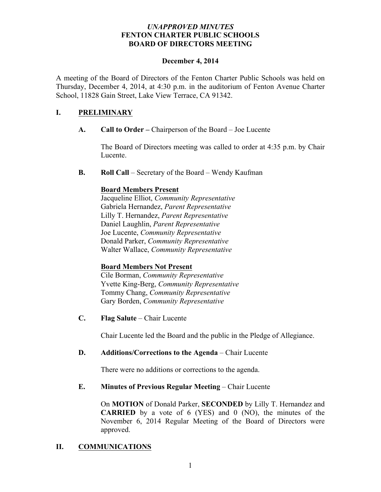### *UNAPPROVED MINUTES* **FENTON CHARTER PUBLIC SCHOOLS BOARD OF DIRECTORS MEETING**

#### **December 4, 2014**

A meeting of the Board of Directors of the Fenton Charter Public Schools was held on Thursday, December 4, 2014, at 4:30 p.m. in the auditorium of Fenton Avenue Charter School, 11828 Gain Street, Lake View Terrace, CA 91342.

### **I. PRELIMINARY**

**A. Call to Order –** Chairperson of the Board – Joe Lucente

The Board of Directors meeting was called to order at 4:35 p.m. by Chair Lucente.

**B. Roll Call** – Secretary of the Board – Wendy Kaufman

### **Board Members Present**

Jacqueline Elliot, *Community Representative* Gabriela Hernandez, *Parent Representative* Lilly T. Hernandez, *Parent Representative* Daniel Laughlin, *Parent Representative* Joe Lucente, *Community Representative* Donald Parker, *Community Representative* Walter Wallace, *Community Representative*

#### **Board Members Not Present**

Cile Borman, *Community Representative* Yvette King-Berg, *Community Representative* Tommy Chang, *Community Representative* Gary Borden, *Community Representative*

**C. Flag Salute** – Chair Lucente

Chair Lucente led the Board and the public in the Pledge of Allegiance.

## **D. Additions/Corrections to the Agenda** – Chair Lucente

There were no additions or corrections to the agenda.

## **E. Minutes of Previous Regular Meeting – Chair Lucente**

On **MOTION** of Donald Parker, **SECONDED** by Lilly T. Hernandez and **CARRIED** by a vote of 6 (YES) and 0 (NO), the minutes of the November 6, 2014 Regular Meeting of the Board of Directors were approved.

## **II. COMMUNICATIONS**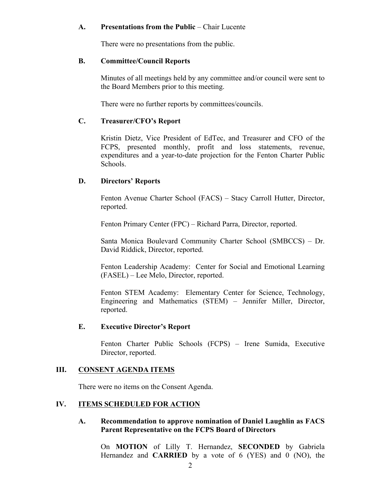### **A. Presentations from the Public** – Chair Lucente

There were no presentations from the public.

#### **B. Committee/Council Reports**

Minutes of all meetings held by any committee and/or council were sent to the Board Members prior to this meeting.

There were no further reports by committees/councils.

### **C. Treasurer/CFO's Report**

Kristin Dietz, Vice President of EdTec, and Treasurer and CFO of the FCPS, presented monthly, profit and loss statements, revenue, expenditures and a year-to-date projection for the Fenton Charter Public Schools.

## **D. Directors' Reports**

Fenton Avenue Charter School (FACS) – Stacy Carroll Hutter, Director, reported.

Fenton Primary Center (FPC) – Richard Parra, Director, reported.

Santa Monica Boulevard Community Charter School (SMBCCS) – Dr. David Riddick, Director, reported.

Fenton Leadership Academy: Center for Social and Emotional Learning (FASEL) – Lee Melo, Director, reported.

Fenton STEM Academy: Elementary Center for Science, Technology, Engineering and Mathematics (STEM) – Jennifer Miller, Director, reported.

## **E. Executive Director's Report**

Fenton Charter Public Schools (FCPS) – Irene Sumida, Executive Director, reported.

## **III. CONSENT AGENDA ITEMS**

There were no items on the Consent Agenda.

### **IV. ITEMS SCHEDULED FOR ACTION**

#### **A. Recommendation to approve nomination of Daniel Laughlin as FACS Parent Representative on the FCPS Board of Directors**

On **MOTION** of Lilly T. Hernandez, **SECONDED** by Gabriela Hernandez and **CARRIED** by a vote of 6 (YES) and 0 (NO), the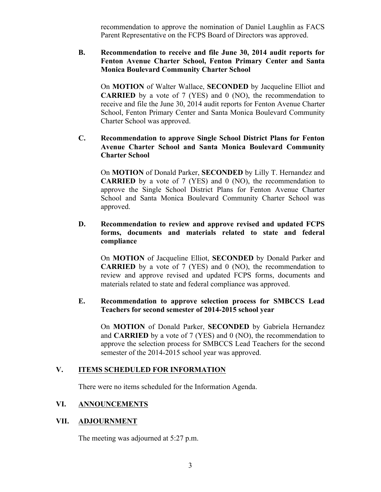recommendation to approve the nomination of Daniel Laughlin as FACS Parent Representative on the FCPS Board of Directors was approved.

## **B. Recommendation to receive and file June 30, 2014 audit reports for Fenton Avenue Charter School, Fenton Primary Center and Santa Monica Boulevard Community Charter School**

On **MOTION** of Walter Wallace, **SECONDED** by Jacqueline Elliot and **CARRIED** by a vote of 7 (YES) and 0 (NO), the recommendation to receive and file the June 30, 2014 audit reports for Fenton Avenue Charter School, Fenton Primary Center and Santa Monica Boulevard Community Charter School was approved.

## **C. Recommendation to approve Single School District Plans for Fenton Avenue Charter School and Santa Monica Boulevard Community Charter School**

On **MOTION** of Donald Parker, **SECONDED** by Lilly T. Hernandez and **CARRIED** by a vote of 7 (YES) and 0 (NO), the recommendation to approve the Single School District Plans for Fenton Avenue Charter School and Santa Monica Boulevard Community Charter School was approved.

### **D. Recommendation to review and approve revised and updated FCPS forms, documents and materials related to state and federal compliance**

On **MOTION** of Jacqueline Elliot, **SECONDED** by Donald Parker and **CARRIED** by a vote of 7 (YES) and 0 (NO), the recommendation to review and approve revised and updated FCPS forms, documents and materials related to state and federal compliance was approved.

#### **E. Recommendation to approve selection process for SMBCCS Lead Teachers for second semester of 2014-2015 school year**

On **MOTION** of Donald Parker, **SECONDED** by Gabriela Hernandez and **CARRIED** by a vote of 7 (YES) and 0 (NO), the recommendation to approve the selection process for SMBCCS Lead Teachers for the second semester of the 2014-2015 school year was approved.

#### **V. ITEMS SCHEDULED FOR INFORMATION**

There were no items scheduled for the Information Agenda.

# **VI. ANNOUNCEMENTS**

#### **VII. ADJOURNMENT**

The meeting was adjourned at 5:27 p.m.